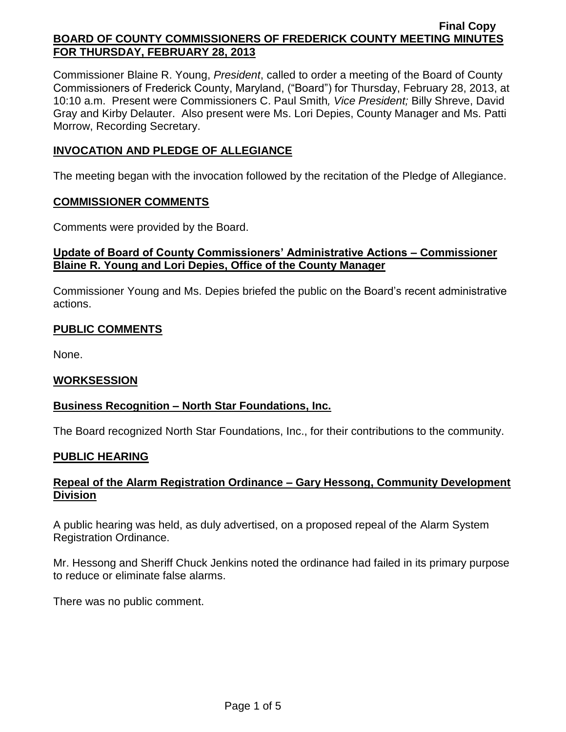Commissioner Blaine R. Young, *President*, called to order a meeting of the Board of County Commissioners of Frederick County, Maryland, ("Board") for Thursday, February 28, 2013, at 10:10 a.m. Present were Commissioners C. Paul Smith*, Vice President;* Billy Shreve, David Gray and Kirby Delauter. Also present were Ms. Lori Depies, County Manager and Ms. Patti Morrow, Recording Secretary.

# **INVOCATION AND PLEDGE OF ALLEGIANCE**

The meeting began with the invocation followed by the recitation of the Pledge of Allegiance.

### **COMMISSIONER COMMENTS**

Comments were provided by the Board.

# **Update of Board of County Commissioners' Administrative Actions – Commissioner Blaine R. Young and Lori Depies, Office of the County Manager**

Commissioner Young and Ms. Depies briefed the public on the Board's recent administrative actions.

# **PUBLIC COMMENTS**

None.

### **WORKSESSION**

### **Business Recognition – North Star Foundations, Inc.**

The Board recognized North Star Foundations, Inc., for their contributions to the community.

### **PUBLIC HEARING**

# **Repeal of the Alarm Registration Ordinance – Gary Hessong, Community Development Division**

A public hearing was held, as duly advertised, on a proposed repeal of the Alarm System Registration Ordinance.

Mr. Hessong and Sheriff Chuck Jenkins noted the ordinance had failed in its primary purpose to reduce or eliminate false alarms.

There was no public comment.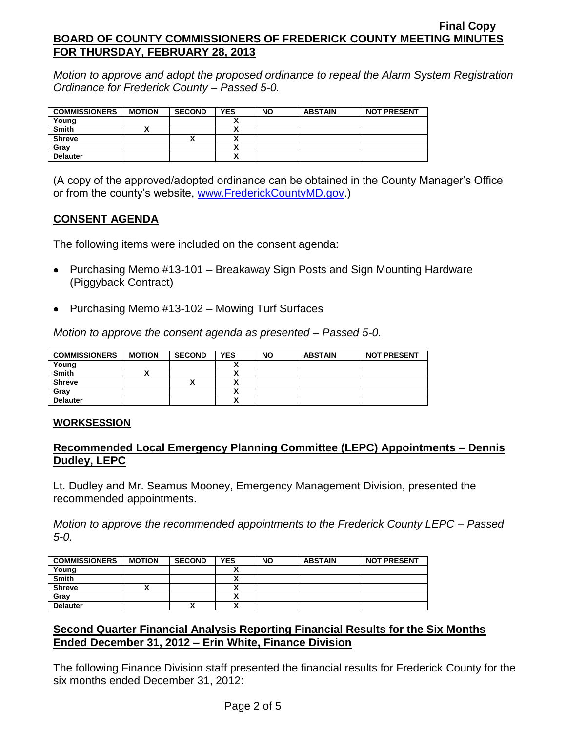*Motion to approve and adopt the proposed ordinance to repeal the Alarm System Registration Ordinance for Frederick County – Passed 5-0.*

| <b>COMMISSIONERS</b> | <b>MOTION</b> | <b>SECOND</b> | <b>YES</b> | <b>NO</b> | <b>ABSTAIN</b> | <b>NOT PRESENT</b> |
|----------------------|---------------|---------------|------------|-----------|----------------|--------------------|
| Young                |               |               |            |           |                |                    |
| Smith                |               |               |            |           |                |                    |
| <b>Shreve</b>        |               | ↗             |            |           |                |                    |
| Grav                 |               |               |            |           |                |                    |
| <b>Delauter</b>      |               |               |            |           |                |                    |

(A copy of the approved/adopted ordinance can be obtained in the County Manager's Office or from the county's website, [www.FrederickCountyMD.gov.](http://www.frederickcountymd.gov/))

### **CONSENT AGENDA**

The following items were included on the consent agenda:

- Purchasing Memo #13-101 Breakaway Sign Posts and Sign Mounting Hardware (Piggyback Contract)
- Purchasing Memo #13-102 Mowing Turf Surfaces

*Motion to approve the consent agenda as presented – Passed 5-0.*

| <b>COMMISSIONERS</b> | <b>MOTION</b> | <b>SECOND</b> | <b>YES</b>           | <b>NO</b> | <b>ABSTAIN</b> | <b>NOT PRESENT</b> |
|----------------------|---------------|---------------|----------------------|-----------|----------------|--------------------|
| Young                |               |               |                      |           |                |                    |
| <b>Smith</b>         |               |               |                      |           |                |                    |
| <b>Shreve</b>        |               |               | $\ddot{\phantom{1}}$ |           |                |                    |
| Gray                 |               |               |                      |           |                |                    |
| <b>Delauter</b>      |               |               | v                    |           |                |                    |

#### **WORKSESSION**

### **Recommended Local Emergency Planning Committee (LEPC) Appointments – Dennis Dudley, LEPC**

Lt. Dudley and Mr. Seamus Mooney, Emergency Management Division, presented the recommended appointments.

*Motion to approve the recommended appointments to the Frederick County LEPC – Passed 5-0.*

| <b>COMMISSIONERS</b> | <b>MOTION</b> | <b>SECOND</b> | <b>YES</b>   | <b>NO</b> | <b>ABSTAIN</b> | <b>NOT PRESENT</b> |
|----------------------|---------------|---------------|--------------|-----------|----------------|--------------------|
| Young                |               |               |              |           |                |                    |
| <b>Smith</b>         |               |               |              |           |                |                    |
| <b>Shreve</b>        |               |               |              |           |                |                    |
| Grav                 |               |               | $\mathbf{v}$ |           |                |                    |
| <b>Delauter</b>      |               | "             | $\mathbf{v}$ |           |                |                    |

# **Second Quarter Financial Analysis Reporting Financial Results for the Six Months Ended December 31, 2012 – Erin White, Finance Division**

The following Finance Division staff presented the financial results for Frederick County for the six months ended December 31, 2012: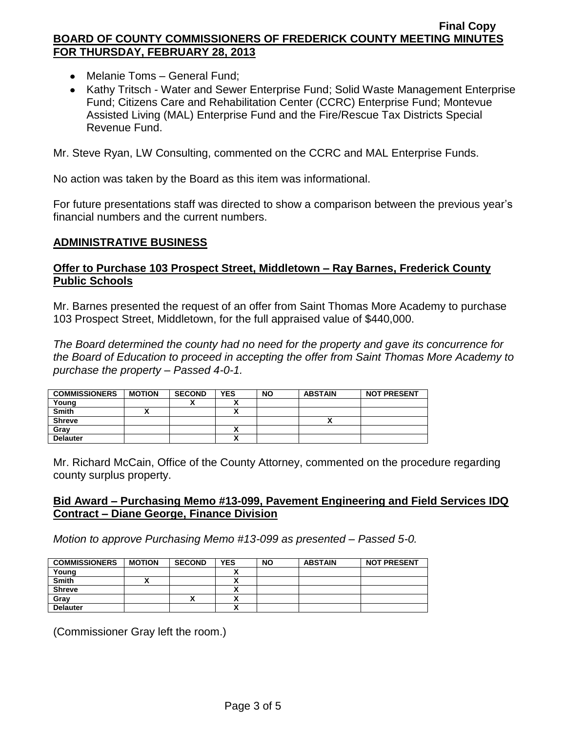- Melanie Toms General Fund;
- Kathy Tritsch Water and Sewer Enterprise Fund; Solid Waste Management Enterprise Fund; Citizens Care and Rehabilitation Center (CCRC) Enterprise Fund; Montevue Assisted Living (MAL) Enterprise Fund and the Fire/Rescue Tax Districts Special Revenue Fund.

Mr. Steve Ryan, LW Consulting, commented on the CCRC and MAL Enterprise Funds.

No action was taken by the Board as this item was informational.

For future presentations staff was directed to show a comparison between the previous year's financial numbers and the current numbers.

### **ADMINISTRATIVE BUSINESS**

# **Offer to Purchase 103 Prospect Street, Middletown – Ray Barnes, Frederick County Public Schools**

Mr. Barnes presented the request of an offer from Saint Thomas More Academy to purchase 103 Prospect Street, Middletown, for the full appraised value of \$440,000.

*The Board determined the county had no need for the property and gave its concurrence for the Board of Education to proceed in accepting the offer from Saint Thomas More Academy to purchase the property – Passed 4-0-1.*

| <b>COMMISSIONERS</b> | <b>MOTION</b> | <b>SECOND</b> | <b>YES</b> | <b>NO</b> | <b>ABSTAIN</b> | <b>NOT PRESENT</b> |
|----------------------|---------------|---------------|------------|-----------|----------------|--------------------|
| Young                |               |               |            |           |                |                    |
| <b>Smith</b>         |               |               | ~          |           |                |                    |
| <b>Shreve</b>        |               |               |            |           |                |                    |
| Grav                 |               |               | ↗          |           |                |                    |
| <b>Delauter</b>      |               |               | ,,         |           |                |                    |

Mr. Richard McCain, Office of the County Attorney, commented on the procedure regarding county surplus property.

### **Bid Award – Purchasing Memo #13-099, Pavement Engineering and Field Services IDQ Contract – Diane George, Finance Division**

*Motion to approve Purchasing Memo #13-099 as presented – Passed 5-0.*

| <b>COMMISSIONERS</b> | <b>MOTION</b> | <b>SECOND</b> | <b>YES</b> | <b>NO</b> | <b>ABSTAIN</b> | <b>NOT PRESENT</b> |
|----------------------|---------------|---------------|------------|-----------|----------------|--------------------|
| Young                |               |               |            |           |                |                    |
| <b>Smith</b>         |               |               |            |           |                |                    |
| <b>Shreve</b>        |               |               |            |           |                |                    |
| Gray                 |               | ́             |            |           |                |                    |
| <b>Delauter</b>      |               |               |            |           |                |                    |

(Commissioner Gray left the room.)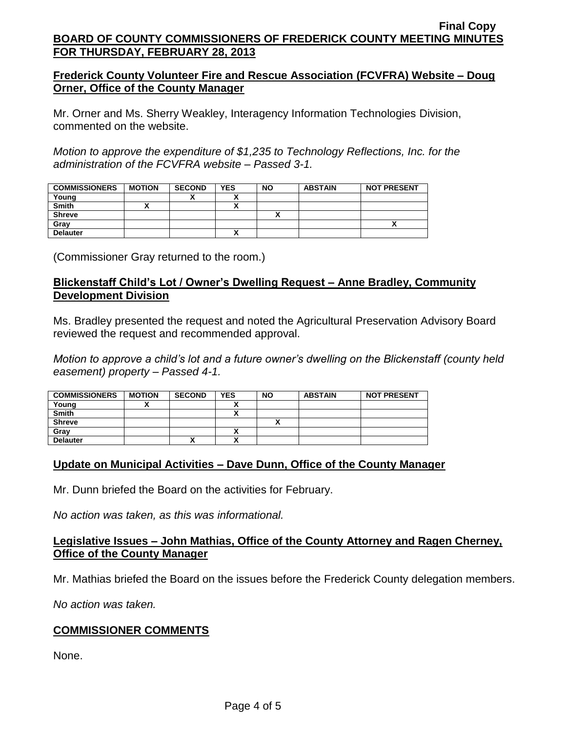## **Frederick County Volunteer Fire and Rescue Association (FCVFRA) Website – Doug Orner, Office of the County Manager**

Mr. Orner and Ms. Sherry Weakley, Interagency Information Technologies Division, commented on the website.

*Motion to approve the expenditure of \$1,235 to Technology Reflections, Inc. for the administration of the FCVFRA website – Passed 3-1.*

| <b>COMMISSIONERS</b> | <b>MOTION</b> | <b>SECOND</b> | <b>YES</b> | <b>NO</b> | <b>ABSTAIN</b> | <b>NOT PRESENT</b> |
|----------------------|---------------|---------------|------------|-----------|----------------|--------------------|
| Young                |               |               |            |           |                |                    |
| <b>Smith</b>         |               |               |            |           |                |                    |
| <b>Shreve</b>        |               |               |            |           |                |                    |
| Gray                 |               |               |            |           |                |                    |
| <b>Delauter</b>      |               |               |            |           |                |                    |

(Commissioner Gray returned to the room.)

# **Blickenstaff Child's Lot / Owner's Dwelling Request – Anne Bradley, Community Development Division**

Ms. Bradley presented the request and noted the Agricultural Preservation Advisory Board reviewed the request and recommended approval.

*Motion to approve a child's lot and a future owner's dwelling on the Blickenstaff (county held easement) property – Passed 4-1.*

| <b>COMMISSIONERS</b> | <b>MOTION</b> | <b>SECOND</b> | <b>YES</b>                                           | <b>NO</b> | <b>ABSTAIN</b> | <b>NOT PRESENT</b> |
|----------------------|---------------|---------------|------------------------------------------------------|-----------|----------------|--------------------|
| Young                |               |               |                                                      |           |                |                    |
| <b>Smith</b>         |               |               | ,,                                                   |           |                |                    |
| <b>Shreve</b>        |               |               |                                                      |           |                |                    |
| Grav                 |               |               | Δ                                                    |           |                |                    |
| <b>Delauter</b>      |               | '             | $\overline{\phantom{a}}$<br>$\overline{\phantom{a}}$ |           |                |                    |

# **Update on Municipal Activities – Dave Dunn, Office of the County Manager**

Mr. Dunn briefed the Board on the activities for February.

*No action was taken, as this was informational.*

### **Legislative Issues – John Mathias, Office of the County Attorney and Ragen Cherney, Office of the County Manager**

Mr. Mathias briefed the Board on the issues before the Frederick County delegation members.

*No action was taken.*

### **COMMISSIONER COMMENTS**

None.